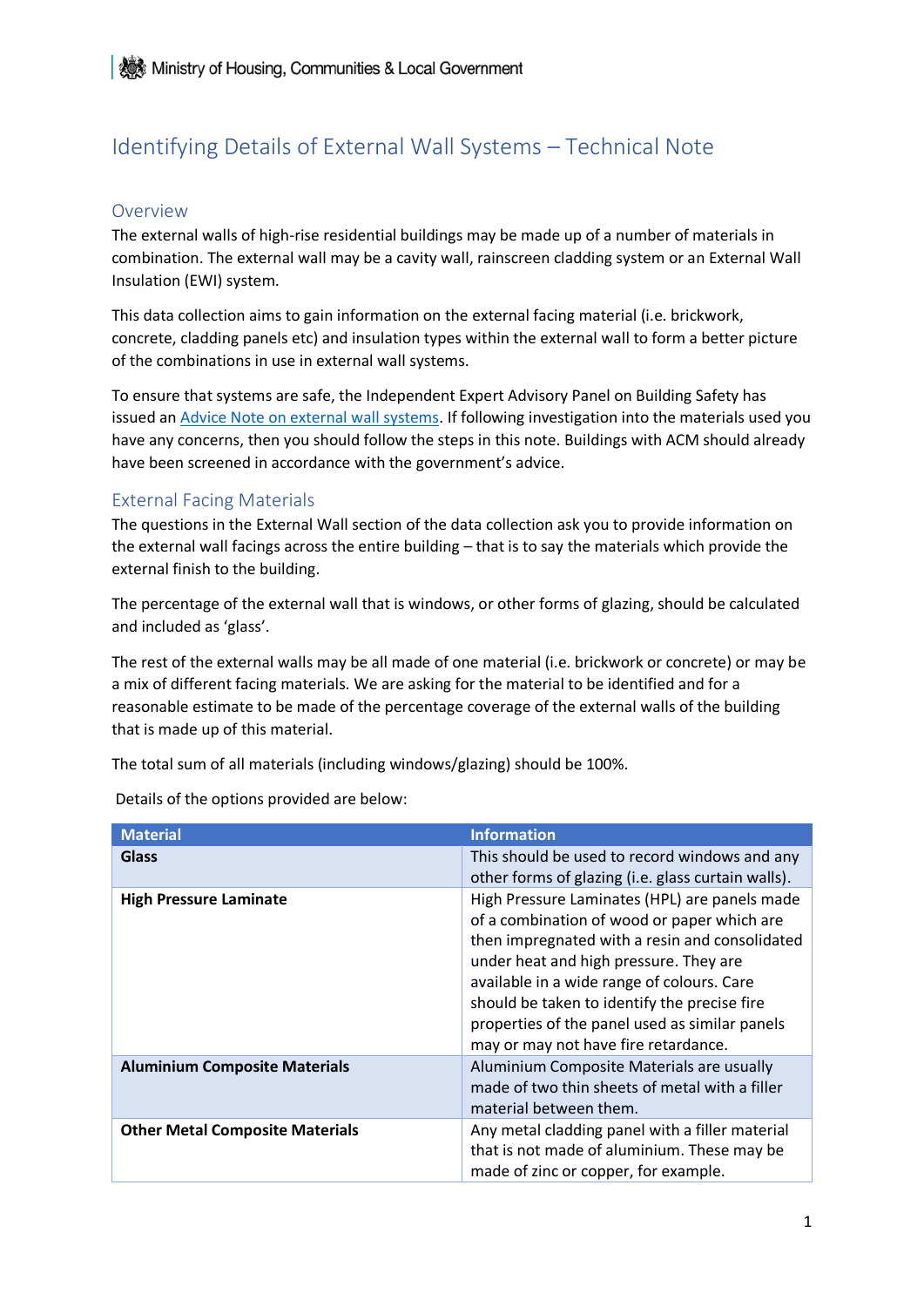# Identifying Details of External Wall Systems – Technical Note

#### Overview

The external walls of high-rise residential buildings may be made up of a number of materials in combination. The external wall may be a cavity wall, rainscreen cladding system or an External Wall Insulation (EWI) system.

This data collection aims to gain information on the external facing material (i.e. brickwork, concrete, cladding panels etc) and insulation types within the external wall to form a better picture of the combinations in use in external wall systems.

To ensure that systems are safe, the Independent Expert Advisory Panel on Building Safety has issued an [Advice Note on external wall systems.](https://www.gov.uk/government/publications/advice-for-building-owners-external-wall-systems-that-do-not-incorporate-acm) If following investigation into the materials used you have any concerns, then you should follow the steps in this note. Buildings with ACM should already have been screened in accordance with the government's advice.

#### External Facing Materials

The questions in the External Wall section of the data collection ask you to provide information on the external wall facings across the entire building – that is to say the materials which provide the external finish to the building.

The percentage of the external wall that is windows, or other forms of glazing, should be calculated and included as 'glass'.

The rest of the external walls may be all made of one material (i.e. brickwork or concrete) or may be a mix of different facing materials. We are asking for the material to be identified and for a reasonable estimate to be made of the percentage coverage of the external walls of the building that is made up of this material.

The total sum of all materials (including windows/glazing) should be 100%.

Details of the options provided are below:

| <b>Material</b>                        | <b>Information</b>                                                                                                                                                                                                                                                                                                                                                               |
|----------------------------------------|----------------------------------------------------------------------------------------------------------------------------------------------------------------------------------------------------------------------------------------------------------------------------------------------------------------------------------------------------------------------------------|
| <b>Glass</b>                           | This should be used to record windows and any<br>other forms of glazing (i.e. glass curtain walls).                                                                                                                                                                                                                                                                              |
| <b>High Pressure Laminate</b>          | High Pressure Laminates (HPL) are panels made<br>of a combination of wood or paper which are<br>then impregnated with a resin and consolidated<br>under heat and high pressure. They are<br>available in a wide range of colours. Care<br>should be taken to identify the precise fire<br>properties of the panel used as similar panels<br>may or may not have fire retardance. |
| <b>Aluminium Composite Materials</b>   | Aluminium Composite Materials are usually<br>made of two thin sheets of metal with a filler<br>material between them.                                                                                                                                                                                                                                                            |
| <b>Other Metal Composite Materials</b> | Any metal cladding panel with a filler material<br>that is not made of aluminium. These may be<br>made of zinc or copper, for example.                                                                                                                                                                                                                                           |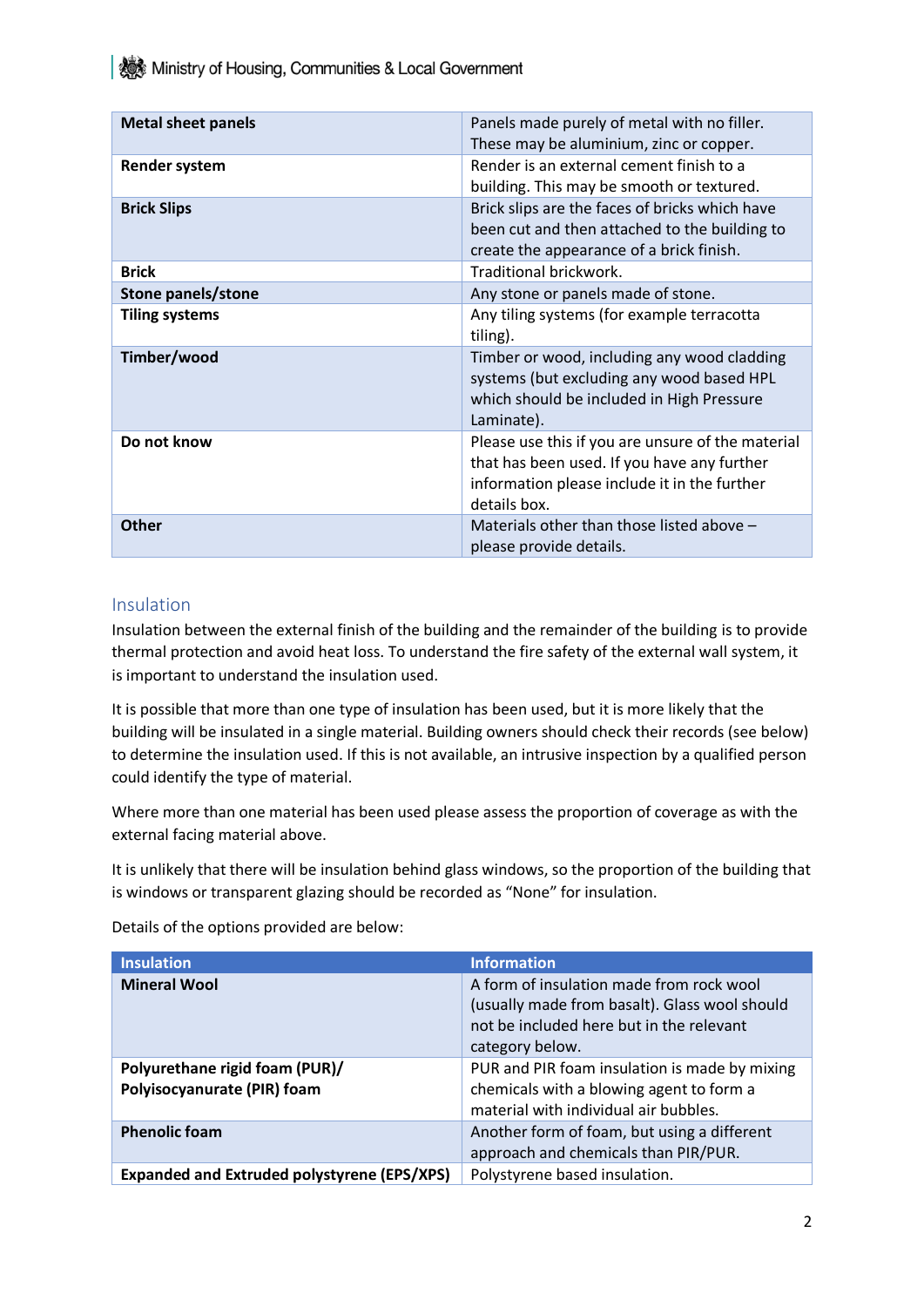**ALCOCOM** Ministry of Housing, Communities & Local Government

| <b>Metal sheet panels</b> | Panels made purely of metal with no filler.<br>These may be aluminium, zinc or copper.                                                                           |
|---------------------------|------------------------------------------------------------------------------------------------------------------------------------------------------------------|
| <b>Render system</b>      | Render is an external cement finish to a<br>building. This may be smooth or textured.                                                                            |
| <b>Brick Slips</b>        | Brick slips are the faces of bricks which have<br>been cut and then attached to the building to<br>create the appearance of a brick finish.                      |
| <b>Brick</b>              | Traditional brickwork.                                                                                                                                           |
| Stone panels/stone        | Any stone or panels made of stone.                                                                                                                               |
| <b>Tiling systems</b>     | Any tiling systems (for example terracotta<br>tiling).                                                                                                           |
| Timber/wood               | Timber or wood, including any wood cladding<br>systems (but excluding any wood based HPL<br>which should be included in High Pressure<br>Laminate).              |
| Do not know               | Please use this if you are unsure of the material<br>that has been used. If you have any further<br>information please include it in the further<br>details box. |
| Other                     | Materials other than those listed above -<br>please provide details.                                                                                             |

### Insulation

Insulation between the external finish of the building and the remainder of the building is to provide thermal protection and avoid heat loss. To understand the fire safety of the external wall system, it is important to understand the insulation used.

It is possible that more than one type of insulation has been used, but it is more likely that the building will be insulated in a single material. Building owners should check their records (see below) to determine the insulation used. If this is not available, an intrusive inspection by a qualified person could identify the type of material.

Where more than one material has been used please assess the proportion of coverage as with the external facing material above.

It is unlikely that there will be insulation behind glass windows, so the proportion of the building that is windows or transparent glazing should be recorded as "None" for insulation.

Details of the options provided are below:

| <b>Insulation</b>                                             | <b>Information</b>                                                                                                                                       |
|---------------------------------------------------------------|----------------------------------------------------------------------------------------------------------------------------------------------------------|
| <b>Mineral Wool</b>                                           | A form of insulation made from rock wool<br>(usually made from basalt). Glass wool should<br>not be included here but in the relevant<br>category below. |
| Polyurethane rigid foam (PUR)/<br>Polyisocyanurate (PIR) foam | PUR and PIR foam insulation is made by mixing<br>chemicals with a blowing agent to form a<br>material with individual air bubbles.                       |
| <b>Phenolic foam</b>                                          | Another form of foam, but using a different<br>approach and chemicals than PIR/PUR.                                                                      |
| <b>Expanded and Extruded polystyrene (EPS/XPS)</b>            | Polystyrene based insulation.                                                                                                                            |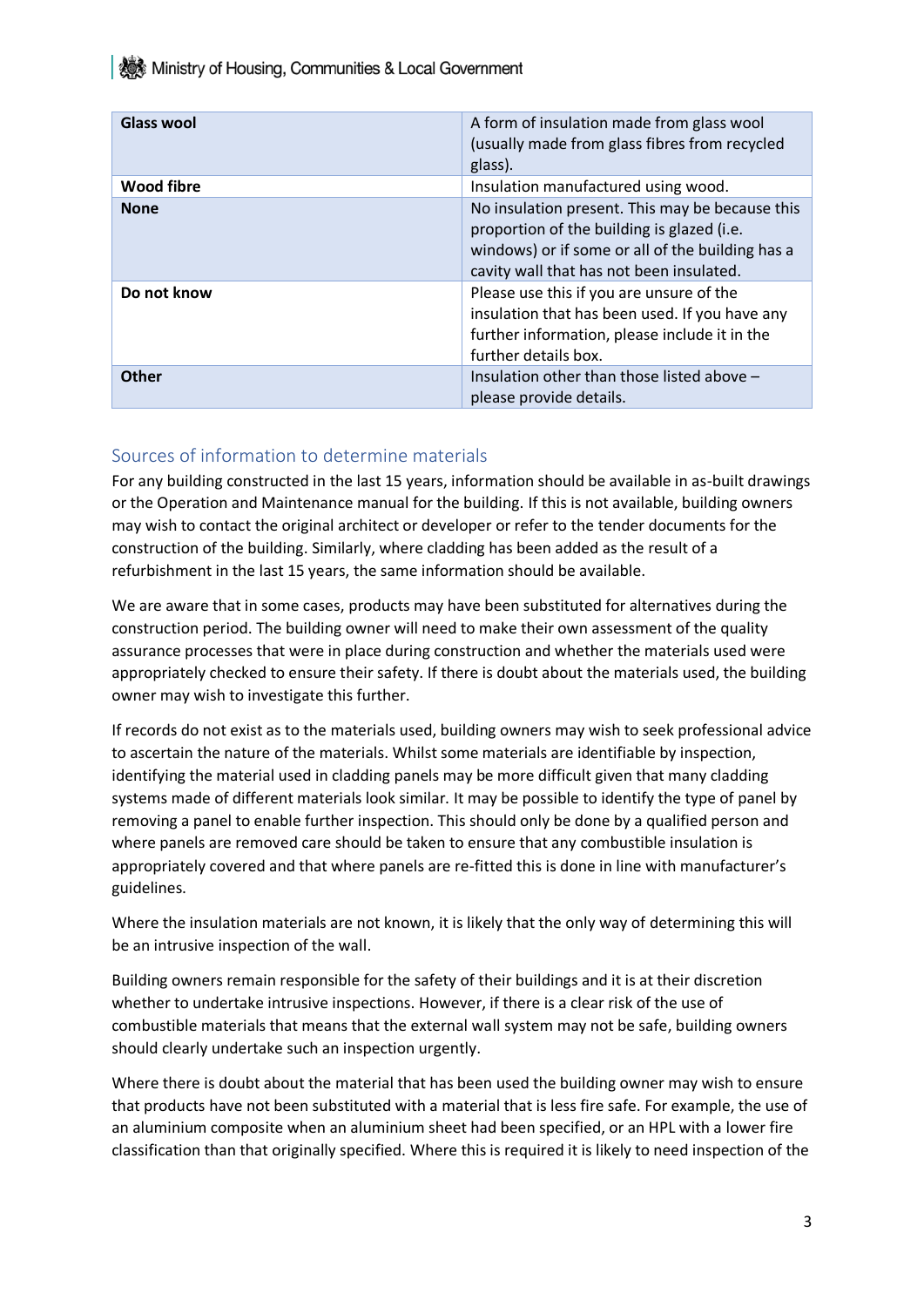**秘 Ministry of Housing, Communities & Local Government** 

| <b>Glass wool</b> | A form of insulation made from glass wool<br>(usually made from glass fibres from recycled<br>glass).                                                                                         |
|-------------------|-----------------------------------------------------------------------------------------------------------------------------------------------------------------------------------------------|
| <b>Wood fibre</b> | Insulation manufactured using wood.                                                                                                                                                           |
| <b>None</b>       | No insulation present. This may be because this<br>proportion of the building is glazed (i.e.<br>windows) or if some or all of the building has a<br>cavity wall that has not been insulated. |
| Do not know       | Please use this if you are unsure of the<br>insulation that has been used. If you have any<br>further information, please include it in the<br>further details box.                           |
| <b>Other</b>      | Insulation other than those listed above -<br>please provide details.                                                                                                                         |

## Sources of information to determine materials

For any building constructed in the last 15 years, information should be available in as-built drawings or the Operation and Maintenance manual for the building. If this is not available, building owners may wish to contact the original architect or developer or refer to the tender documents for the construction of the building. Similarly, where cladding has been added as the result of a refurbishment in the last 15 years, the same information should be available.

We are aware that in some cases, products may have been substituted for alternatives during the construction period. The building owner will need to make their own assessment of the quality assurance processes that were in place during construction and whether the materials used were appropriately checked to ensure their safety. If there is doubt about the materials used, the building owner may wish to investigate this further.

If records do not exist as to the materials used, building owners may wish to seek professional advice to ascertain the nature of the materials. Whilst some materials are identifiable by inspection, identifying the material used in cladding panels may be more difficult given that many cladding systems made of different materials look similar. It may be possible to identify the type of panel by removing a panel to enable further inspection. This should only be done by a qualified person and where panels are removed care should be taken to ensure that any combustible insulation is appropriately covered and that where panels are re-fitted this is done in line with manufacturer's guidelines.

Where the insulation materials are not known, it is likely that the only way of determining this will be an intrusive inspection of the wall.

Building owners remain responsible for the safety of their buildings and it is at their discretion whether to undertake intrusive inspections. However, if there is a clear risk of the use of combustible materials that means that the external wall system may not be safe, building owners should clearly undertake such an inspection urgently.

Where there is doubt about the material that has been used the building owner may wish to ensure that products have not been substituted with a material that is less fire safe. For example, the use of an aluminium composite when an aluminium sheet had been specified, or an HPL with a lower fire classification than that originally specified. Where this is required it is likely to need inspection of the